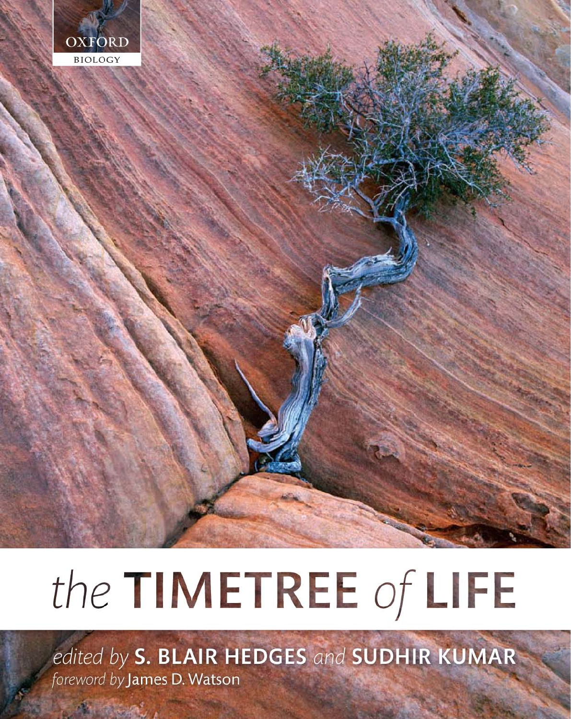

# the TIMETREE of LIFE

edited by S. BLAIR HEDGES and SUDHIR KUMAR foreword by James D. Watson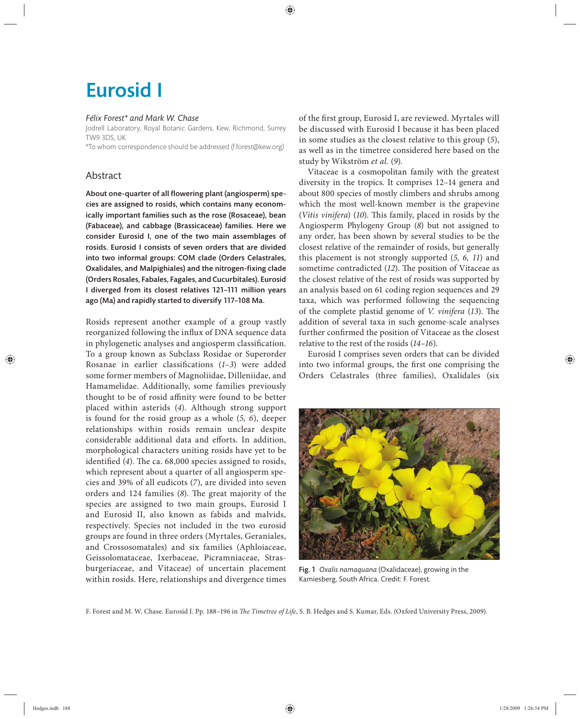## Eurosid I

#### *Félix Forest\* and Mark W. Chase*

Jodrell Laboratory, Royal Botanic Gardens, Kew, Richmond, Surrey TW9 3DS, UK

\*To whom correspondence should be addressed (f.forest@kew.org)

### Abstract

About one-quarter of all flowering plant (angiosperm) species are assigned to rosids, which contains many economically important families such as the rose (Rosaceae), bean (Fabaceae), and cabbage (Brassicaceae) families. Here we consider Eurosid I, one of the two main assemblages of rosids. Eurosid I consists of seven orders that are divided into two informal groups: COM clade (Orders Celastrales, Oxalidales, and Malpighiales) and the nitrogen-fixing clade (Orders Rosales, Fabales, Fagales, and Cucurbitales). Eurosid I diverged from its closest relatives 121–111 million years ago (Ma) and rapidly started to diversify 117–108 Ma.

Rosids represent another example of a group vastly reorganized following the influx of DNA sequence data in phylogenetic analyses and angiosperm classification. To a group known as Subclass Rosidae or Superorder Rosanae in earlier classifications (1-3) were added some former members of Magnoliidae, Dilleniidae, and Hamamelidae. Additionally, some families previously thought to be of rosid affinity were found to be better placed within asterids (4). Although strong support is found for the rosid group as a whole (5, 6), deeper relationships within rosids remain unclear despite considerable additional data and efforts. In addition, morphological characters uniting rosids have yet to be identified (4). The ca. 68,000 species assigned to rosids, which represent about a quarter of all angiosperm species and 39% of all eudicots (*7*), are divided into seven orders and 124 families (8). The great majority of the species are assigned to two main groups, Eurosid I and Eurosid II, also known as fabids and malvids, respectively. Species not included in the two eurosid groups are found in three orders (Myrtales, Geraniales, and Crossosomatales) and six families (Aphloiaceae, Geissolomataceae, Ixerbaceae, Picramniaceae, Strasburgeriaceae, and Vitaceae) of uncertain placement within rosids. Here, relationships and divergence times

of the first group, Eurosid I, are reviewed. Myrtales will be discussed with Eurosid I because it has been placed in some studies as the closest relative to this group (*5*), as well as in the timetree considered here based on the study by Wikström *et al.* (*9*).

Vitaceae is a cosmopolitan family with the greatest diversity in the tropics. It comprises 12–14 genera and about 800 species of mostly climbers and shrubs among which the most well-known member is the grapevine (Vitis vinifera) (10). This family, placed in rosids by the Angiosperm Phylogeny Group (8) but not assigned to any order, has been shown by several studies to be the closest relative of the remainder of rosids, but generally this placement is not strongly supported (*5, 6, 11*) and sometime contradicted (12). The position of Vitaceae as the closest relative of the rest of rosids was supported by an analysis based on 61 coding region sequences and 29 taxa, which was performed following the sequencing of the complete plastid genome of *V. vinifera* (13). The addition of several taxa in such genome-scale analyses further confirmed the position of Vitaceae as the closest relative to the rest of the rosids (*14–16*).

Eurosid I comprises seven orders that can be divided into two informal groups, the first one comprising the Orders Celastrales (three families), Oxalidales (six



Fig. 1 *Oxalis namaquana* (Oxalidaceae), growing in the Kamiesberg, South Africa. Credit: F. Forest.

F. Forest and M. W. Chase. Eurosid I. Pp. 188-196 in *The Timetree of Life*, S. B. Hedges and S. Kumar, Eds. (Oxford University Press, 2009).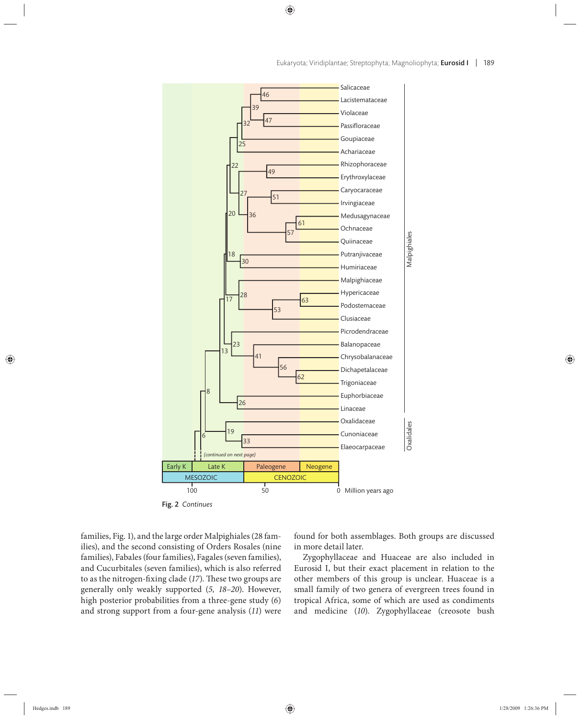

Fig. 2 *Continues*

families, Fig. 1), and the large order Malpighiales (28 families), and the second consisting of Orders Rosales (nine families), Fabales (four families), Fagales (seven families), and Cucurbitales (seven families), which is also referred to as the nitrogen-fixing clade (17). These two groups are generally only weakly supported (*5, 18–20*). However, high posterior probabilities from a three-gene study (*6*) and strong support from a four-gene analysis (*11*) were found for both assemblages. Both groups are discussed in more detail later.

Zygophyllaceae and Huaceae are also included in Eurosid I, but their exact placement in relation to the other members of this group is unclear. Huaceae is a small family of two genera of evergreen trees found in tropical Africa, some of which are used as condiments and medicine (*10*). Zygophyllaceae (creosote bush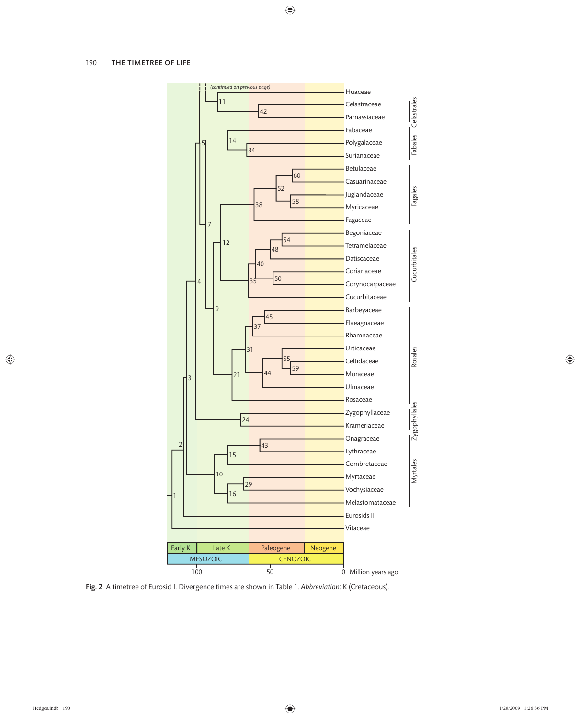

Fig. 2 A timetree of Eurosid I. Divergence times are shown in Table 1. *Abbreviation*: K (Cretaceous).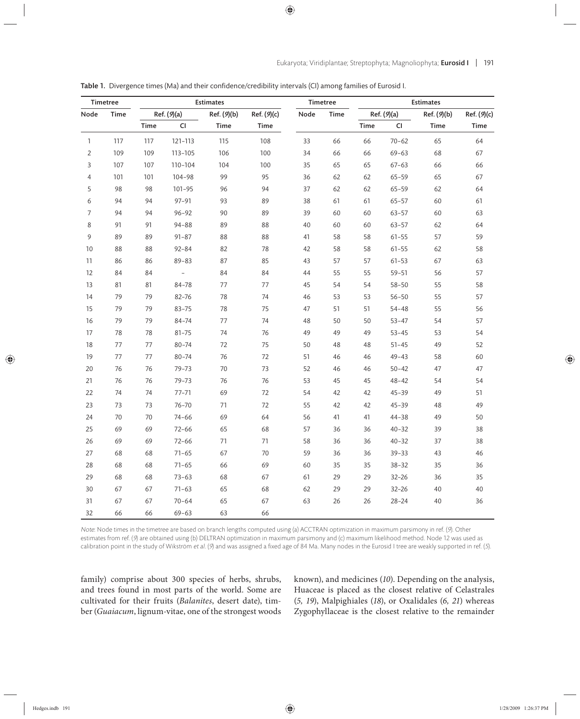| Timetree       |             | <b>Estimates</b> |                          |             |             | Timetree |             | <b>Estimates</b> |           |             |             |
|----------------|-------------|------------------|--------------------------|-------------|-------------|----------|-------------|------------------|-----------|-------------|-------------|
| Node           | <b>Time</b> | Ref. (9)(a)      |                          | Ref. (9)(b) | Ref. (9)(c) | Node     | <b>Time</b> | Ref. (9)(a)      |           | Ref. (9)(b) | Ref. (9)(c) |
|                |             | Time             | CI                       | Time        | Time        |          |             | Time             | CI        | Time        | <b>Time</b> |
| $\mathbf{1}$   | 117         | 117              | 121-113                  | 115         | 108         | 33       | 66          | 66               | $70 - 62$ | 65          | 64          |
| $\overline{2}$ | 109         | 109              | 113-105                  | 106         | 100         | 34       | 66          | 66               | $69 - 63$ | 68          | 67          |
| 3              | 107         | 107              | 110-104                  | 104         | 100         | 35       | 65          | 65               | $67 - 63$ | 66          | 66          |
| $\overline{4}$ | 101         | 101              | 104-98                   | 99          | 95          | 36       | 62          | 62               | $65 - 59$ | 65          | 67          |
| 5              | 98          | 98               | $101 - 95$               | 96          | 94          | 37       | 62          | 62               | $65 - 59$ | 62          | 64          |
| 6              | 94          | 94               | $97 - 91$                | 93          | 89          | 38       | 61          | 61               | $65 - 57$ | 60          | 61          |
| $\overline{7}$ | 94          | 94               | $96 - 92$                | 90          | 89          | 39       | 60          | 60               | $63 - 57$ | 60          | 63          |
| 8              | 91          | 91               | $94 - 88$                | 89          | 88          | 40       | 60          | 60               | $63 - 57$ | 62          | 64          |
| 9              | 89          | 89               | $91 - 87$                | 88          | 88          | 41       | 58          | 58               | $61 - 55$ | 57          | 59          |
| 10             | 88          | 88               | $92 - 84$                | 82          | 78          | 42       | 58          | 58               | $61 - 55$ | 62          | 58          |
| 11             | 86          | 86               | $89 - 83$                | 87          | 85          | 43       | 57          | 57               | $61 - 53$ | 67          | 63          |
| 12             | 84          | 84               | $\overline{\phantom{0}}$ | 84          | 84          | 44       | 55          | 55               | $59 - 51$ | 56          | 57          |
| 13             | 81          | 81               | 84-78                    | 77          | 77          | 45       | 54          | 54               | $58 - 50$ | 55          | 58          |
| 14             | 79          | 79               | 82-76                    | 78          | 74          | 46       | 53          | 53               | $56 - 50$ | 55          | 57          |
| 15             | 79          | 79               | $83 - 75$                | 78          | 75          | 47       | 51          | 51               | $54 - 48$ | 55          | 56          |
| 16             | 79          | 79               | 84-74                    | 77          | $74$        | 48       | 50          | 50               | $53 - 47$ | 54          | 57          |
| $17\,$         | 78          | 78               | $81 - 75$                | 74          | 76          | 49       | 49          | 49               | $53 - 45$ | 53          | 54          |
| $18\,$         | 77          | 77               | $80 - 74$                | 72          | 75          | 50       | 48          | 48               | $51 - 45$ | 49          | 52          |
| 19             | 77          | 77               | $80 - 74$                | 76          | 72          | 51       | 46          | 46               | $49 - 43$ | 58          | 60          |
| 20             | 76          | 76               | $79 - 73$                | 70          | 73          | 52       | 46          | 46               | $50 - 42$ | 47          | 47          |
| 21             | 76          | 76               | $79 - 73$                | 76          | 76          | 53       | 45          | 45               | $48 - 42$ | 54          | 54          |
| 22             | 74          | 74               | $77 - 71$                | 69          | 72          | 54       | 42          | 42               | $45 - 39$ | 49          | 51          |
| 23             | 73          | 73               | $76 - 70$                | 71          | 72          | 55       | 42          | 42               | $45 - 39$ | 48          | 49          |
| 24             | 70          | 70               | $74 - 66$                | 69          | 64          | 56       | 41          | 41               | $44 - 38$ | 49          | 50          |
| 25             | 69          | 69               | $72 - 66$                | 65          | 68          | 57       | 36          | 36               | $40 - 32$ | 39          | 38          |
| 26             | 69          | 69               | $72 - 66$                | 71          | 71          | 58       | 36          | 36               | $40 - 32$ | 37          | 38          |
| 27             | 68          | 68               | $71 - 65$                | 67          | 70          | 59       | 36          | 36               | $39 - 33$ | 43          | 46          |
| 28             | 68          | 68               | $71 - 65$                | 66          | 69          | 60       | 35          | 35               | $38 - 32$ | 35          | 36          |
| 29             | 68          | 68               | $73 - 63$                | 68          | 67          | 61       | 29          | 29               | $32 - 26$ | 36          | 35          |
| 30             | 67          | 67               | $71 - 63$                | 65          | 68          | 62       | 29          | 29               | $32 - 26$ | 40          | 40          |
| 31             | 67          | 67               | $70 - 64$                | 65          | 67          | 63       | 26          | 26               | $28 - 24$ | 40          | 36          |
| 32             | 66          | 66               | $69 - 63$                | 63          | 66          |          |             |                  |           |             |             |

Table 1. Divergence times (Ma) and their confidence/credibility intervals (CI) among families of Eurosid I.

Note: Node times in the timetree are based on branch lengths computed using (a) ACCTRAN optimization in maximum parsimony in ref. (9). Other estimates from ref. (9) are obtained using (b) DELTRAN optimization in maximum parsimony and (c) maximum likelihood method. Node 12 was used as calibration point in the study of Wikström et al. (9) and was assigned a fixed age of 84 Ma. Many nodes in the Eurosid I tree are weakly supported in ref. (5).

family) comprise about 300 species of herbs, shrubs, and trees found in most parts of the world. Some are cultivated for their fruits (*Balanites*, desert date), timber (*Guaiacum*, lignum-vitae, one of the strongest woods known), and medicines (*10*). Depending on the analysis, Huaceae is placed as the closest relative of Celastrales (*5, 19*), Malpighiales (*18*), or Oxalidales (*6, 21*) whereas Zygophyllaceae is the closest relative to the remainder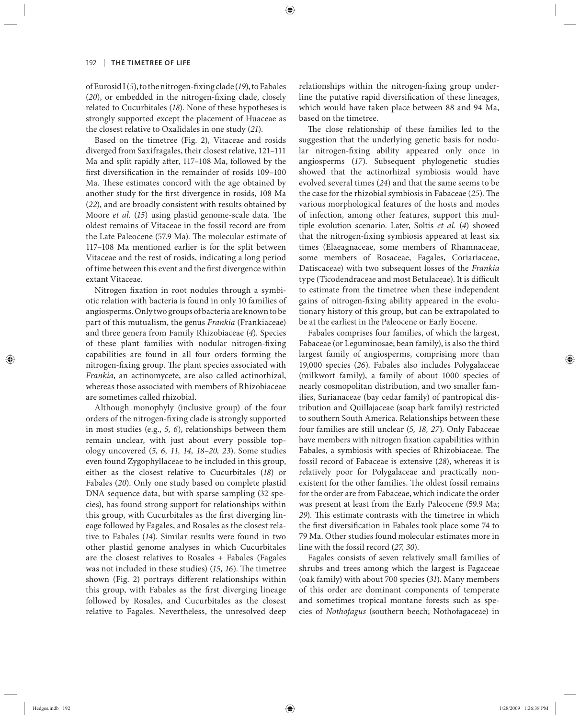of Eurosid I (5), to the nitrogen-fixing clade (19), to Fabales (20), or embedded in the nitrogen-fixing clade, closely related to Cucurbitales (*18*). None of these hypotheses is strongly supported except the placement of Huaceae as the closest relative to Oxalidales in one study (*21*).

Based on the timetree (Fig. 2), Vitaceae and rosids diverged from Saxifragales, their closest relative, 121–111 Ma and split rapidly after, 117-108 Ma, followed by the first diversification in the remainder of rosids 109-100 Ma. These estimates concord with the age obtained by another study for the first divergence in rosids, 108 Ma (*22*), and are broadly consistent with results obtained by Moore *et al.* (15) using plastid genome-scale data. The oldest remains of Vitaceae in the fossil record are from the Late Paleocene (57.9 Ma). The molecular estimate of 117–108 Ma mentioned earlier is for the split between Vitaceae and the rest of rosids, indicating a long period of time between this event and the first divergence within extant Vitaceae.

Nitrogen fixation in root nodules through a symbiotic relation with bacteria is found in only 10 families of angiosperms. Only two groups of bacteria are known to be part of this mutualism, the genus *Frankia* (Frankiaceae) and three genera from Family Rhizobiaceae (*4*). Species of these plant families with nodular nitrogen-fixing capabilities are found in all four orders forming the nitrogen-fixing group. The plant species associated with *Frankia*, an actinomycete, are also called actinorhizal, whereas those associated with members of Rhizobiaceae are sometimes called rhizobial.

Although monophyly (inclusive group) of the four orders of the nitrogen-fixing clade is strongly supported in most studies (e.g., *5, 6*), relationships between them remain unclear, with just about every possible topology uncovered (*5, 6, 11, 14, 18–20, 23*). Some studies even found Zygophyllaceae to be included in this group, either as the closest relative to Cucurbitales (*18*) or Fabales (*20*). Only one study based on complete plastid DNA sequence data, but with sparse sampling (32 species), has found strong support for relationships within this group, with Cucurbitales as the first diverging lineage followed by Fagales, and Rosales as the closest relative to Fabales (14). Similar results were found in two other plastid genome analyses in which Cucurbitales are the closest relatives to Rosales + Fabales (Fagales was not included in these studies) (15, 16). The timetree shown (Fig. 2) portrays different relationships within this group, with Fabales as the first diverging lineage followed by Rosales, and Cucurbitales as the closest relative to Fagales. Nevertheless, the unresolved deep relationships within the nitrogen-fixing group underline the putative rapid diversification of these lineages, which would have taken place between 88 and 94 Ma, based on the timetree.

The close relationship of these families led to the suggestion that the underlying genetic basis for nodular nitrogen-fixing ability appeared only once in angiosperms (*17*). Subsequent phylogenetic studies showed that the actinorhizal symbiosis would have evolved several times (*24*) and that the same seems to be the case for the rhizobial symbiosis in Fabaceae (25). The various morphological features of the hosts and modes of infection, among other features, support this multiple evolution scenario. Later, Soltis *et al.* (*4*) showed that the nitrogen-fixing symbiosis appeared at least six times (Elaeagnaceae, some members of Rhamnaceae, some members of Rosaceae, Fagales, Coriariaceae, Datiscaceae) with two subsequent losses of the *Frankia* type (Ticodendraceae and most Betulaceae). It is difficult to estimate from the timetree when these independent gains of nitrogen-fixing ability appeared in the evolutionary history of this group, but can be extrapolated to be at the earliest in the Paleocene or Early Eocene.

Fabales comprises four families, of which the largest, Fabaceae (or Leguminosae; bean family), is also the third largest family of angiosperms, comprising more than 19,000 species (*26*). Fabales also includes Polygalaceae (milkwort family), a family of about 1000 species of nearly cosmopolitan distribution, and two smaller families, Surianaceae (bay cedar family) of pantropical distribution and Quillajaceae (soap bark family) restricted to southern South America. Relationships between these four families are still unclear (*5, 18, 27*). Only Fabaceae have members with nitrogen fixation capabilities within Fabales, a symbiosis with species of Rhizobiaceae. The fossil record of Fabaceae is extensive (*28*), whereas it is relatively poor for Polygalaceae and practically nonexistent for the other families. The oldest fossil remains for the order are from Fabaceae, which indicate the order was present at least from the Early Paleocene (59.9 Ma; 29). This estimate contrasts with the timetree in which the first diversification in Fabales took place some 74 to 79 Ma. Other studies found molecular estimates more in line with the fossil record (*27, 30*).

Fagales consists of seven relatively small families of shrubs and trees among which the largest is Fagaceae (oak family) with about 700 species (*31*). Many members of this order are dominant components of temperate and sometimes tropical montane forests such as species of *Nothofagus* (southern beech; Nothofagaceae) in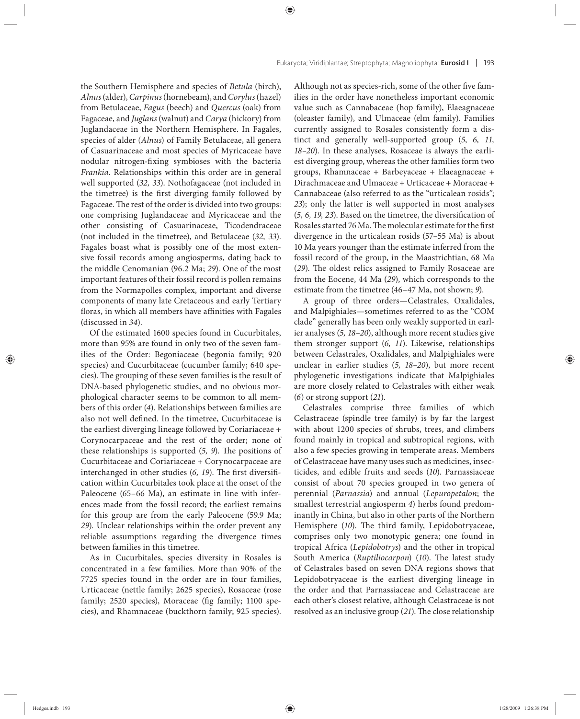the Southern Hemisphere and species of *Betula* (birch), *Alnus* (alder), *Carpinus* (hornebeam), and *Corylus* (hazel) from Betulaceae, *Fagus* (beech) and *Quercus* (oak) from Fagaceae, and *Juglans* (walnut) and *Carya* (hickory) from Juglandaceae in the Northern Hemisphere. In Fagales, species of alder (*Alnus*) of Family Betulaceae, all genera of Casuarinaceae and most species of Myricaceae have nodular nitrogen-fixing symbioses with the bacteria *Frankia*. Relationships within this order are in general well supported (*32, 33*). Nothofagaceae (not included in the timetree) is the first diverging family followed by Fagaceae. The rest of the order is divided into two groups: one comprising Juglandaceae and Myricaceae and the other consisting of Casuarinaceae, Ticodendraceae (not included in the timetree), and Betulaceae (32, 33). Fagales boast what is possibly one of the most extensive fossil records among angiosperms, dating back to the middle Cenomanian (96.2 Ma; *29*). One of the most important features of their fossil record is pollen remains from the Normapolles complex, important and diverse components of many late Cretaceous and early Tertiary floras, in which all members have affinities with Fagales (discussed in *34*).

Of the estimated 1600 species found in Cucurbitales, more than 95% are found in only two of the seven families of the Order: Begoniaceae (begonia family; 920 species) and Cucurbitaceae (cucumber family; 640 species). The grouping of these seven families is the result of DNA-based phylogenetic studies, and no obvious morphological character seems to be common to all members of this order (*4*). Relationships between families are also not well defined. In the timetree, Cucurbitaceae is the earliest diverging lineage followed by Coriariaceae + Corynocarpaceae and the rest of the order; none of these relationships is supported (5, 9). The positions of Cucurbitaceae and Coriariaceae + Corynocarpaceae are interchanged in other studies (6, 19). The first diversification within Cucurbitales took place at the onset of the Paleocene (65–66 Ma), an estimate in line with inferences made from the fossil record; the earliest remains for this group are from the early Paleocene (59.9 Ma; *29*). Unclear relationships within the order prevent any reliable assumptions regarding the divergence times between families in this timetree.

As in Cucurbitales, species diversity in Rosales is concentrated in a few families. More than 90% of the 7725 species found in the order are in four families, Urticaceae (nettle family; 2625 species), Rosaceae (rose family; 2520 species), Moraceae (fig family; 1100 species), and Rhamnaceae (buckthorn family; 925 species).

Although not as species-rich, some of the other five families in the order have nonetheless important economic value such as Cannabaceae (hop family), Elaeagnaceae (oleaster family), and Ulmaceae (elm family). Families currently assigned to Rosales consistently form a distinct and generally well-supported group (*5, 6, 11, 18–20*). In these analyses, Rosaceae is always the earliest diverging group, whereas the other families form two groups, Rhamnaceae + Barbeyaceae + Elaeagnaceae + Dirachmaceae and Ulmaceae + Urticaceae + Moraceae + Cannabaceae (also referred to as the "urticalean rosids"; *23*); only the latter is well supported in most analyses  $(5, 6, 19, 23)$ . Based on the timetree, the diversification of Rosales started 76 Ma. The molecular estimate for the first divergence in the urticalean rosids (57–55 Ma) is about 10 Ma years younger than the estimate inferred from the fossil record of the group, in the Maastrichtian, 68 Ma (29). The oldest relics assigned to Family Rosaceae are from the Eocene, 44 Ma (*29*), which corresponds to the estimate from the timetree (46–47 Ma, not shown; *9*).

A group of three orders-Celastrales, Oxalidales, and Malpighiales—sometimes referred to as the "COM clade" generally has been only weakly supported in earlier analyses (*5, 18–20*), although more recent studies give them stronger support (*6, 11*). Likewise, relationships between Celastrales, Oxalidales, and Malpighiales were unclear in earlier studies (5, 18-20), but more recent phylogenetic investigations indicate that Malpighiales are more closely related to Celastrales with either weak (*6*) or strong support (*21*).

Celastrales comprise three families of which Celastraceae (spindle tree family) is by far the largest with about 1200 species of shrubs, trees, and climbers found mainly in tropical and subtropical regions, with also a few species growing in temperate areas. Members of Celastraceae have many uses such as medicines, insecticides, and edible fruits and seeds (*10*). Parnassiaceae consist of about 70 species grouped in two genera of perennial (*Parnassia*) and annual (*Lepuropetalon*; the smallest terrestrial angiosperm *4*) herbs found predominantly in China, but also in other parts of the Northern Hemisphere (10). The third family, Lepidobotryaceae, comprises only two monotypic genera; one found in tropical Africa (*Lepidobotrys*) and the other in tropical South America (*Ruptiliocarpon*) (10). The latest study of Celastrales based on seven DNA regions shows that Lepidobotryaceae is the earliest diverging lineage in the order and that Parnassiaceae and Celastraceae are each other's closest relative, although Celastraceae is not resolved as an inclusive group (21). The close relationship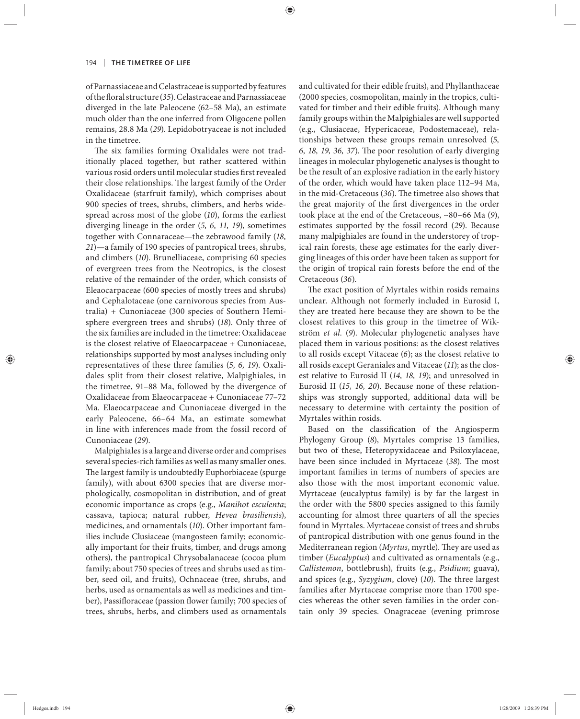of Parnassiaceae and Celastraceae is supported by features of the floral structure (35). Celastraceae and Parnassiaceae diverged in the late Paleocene (62–58 Ma), an estimate much older than the one inferred from Oligocene pollen remains, 28.8 Ma (*29*). Lepidobotryaceae is not included in the timetree.

The six families forming Oxalidales were not traditionally placed together, but rather scattered within various rosid orders until molecular studies first revealed their close relationships. The largest family of the Order Oxalidaceae (starfruit family), which comprises about 900 species of trees, shrubs, climbers, and herbs widespread across most of the globe (*10*), forms the earliest diverging lineage in the order (*5, 6, 11, 19*), sometimes together with Connaraceae—the zebrawood family (*18, 21*)—a family of 190 species of pantropical trees, shrubs, and climbers (*10*). Brunelliaceae, comprising 60 species of evergreen trees from the Neotropics, is the closest relative of the remainder of the order, which consists of Eleaocarpaceae (600 species of mostly trees and shrubs) and Cephalotaceae (one carnivorous species from Australia) + Cunoniaceae (300 species of Southern Hemisphere evergreen trees and shrubs) (*18*). Only three of the six families are included in the timetree: Oxalidaceae is the closest relative of Elaeocarpaceae + Cunoniaceae, relationships supported by most analyses including only representatives of these three families (*5, 6, 19*). Oxalidales split from their closest relative, Malpighiales, in the timetree, 91–88 Ma, followed by the divergence of Oxalidaceae from Elaeocarpaceae + Cunoniaceae 77–72 Ma. Elaeocarpaceae and Cunoniaceae diverged in the early Paleocene, 66–64 Ma, an estimate somewhat in line with inferences made from the fossil record of Cunoniaceae (*29*).

Malpighiales is a large and diverse order and comprises several species-rich families as well as many smaller ones. The largest family is undoubtedly Euphorbiaceae (spurge family), with about 6300 species that are diverse morphologically, cosmopolitan in distribution, and of great economic importance as crops (e.g., *Manihot esculenta*; cassava, tapioca; natural rubber, *Hevea brasiliensis*), medicines, and ornamentals (*10*). Other important families include Clusiaceae (mangosteen family; economically important for their fruits, timber, and drugs among others), the pantropical Chrysobalanaceae (cocoa plum family; about 750 species of trees and shrubs used as timber, seed oil, and fruits), Ochnaceae (tree, shrubs, and herbs, used as ornamentals as well as medicines and timber), Passifloraceae (passion flower family; 700 species of trees, shrubs, herbs, and climbers used as ornamentals

and cultivated for their edible fruits), and Phyllanthaceae (2000 species, cosmopolitan, mainly in the tropics, cultivated for timber and their edible fruits). Although many family groups within the Malpighiales are well supported (e.g., Clusiaceae, Hypericaceae, Podostemaceae), relationships between these groups remain unresolved (*5,*  6, 18, 19, 36, 37). The poor resolution of early diverging lineages in molecular phylogenetic analyses is thought to be the result of an explosive radiation in the early history of the order, which would have taken place 112–94 Ma, in the mid-Cretaceous (36). The timetree also shows that the great majority of the first divergences in the order took place at the end of the Cretaceous, ~80–66 Ma (*9*), estimates supported by the fossil record (*29*). Because many malpighiales are found in the understorey of tropical rain forests, these age estimates for the early diverging lineages of this order have been taken as support for the origin of tropical rain forests before the end of the Cretaceous (*36*).

The exact position of Myrtales within rosids remains unclear. Although not formerly included in Eurosid I, they are treated here because they are shown to be the closest relatives to this group in the timetree of Wikström *et al.* (*9*). Molecular phylogenetic analyses have placed them in various positions: as the closest relatives to all rosids except Vitaceae (*6*); as the closest relative to all rosids except Geraniales and Vitaceae (*11*); as the closest relative to Eurosid II (*14, 18, 19*); and unresolved in Eurosid II (15, 16, 20). Because none of these relationships was strongly supported, additional data will be necessary to determine with certainty the position of Myrtales within rosids.

Based on the classification of the Angiosperm Phylogeny Group (*8*), Myrtales comprise 13 families, but two of these, Heteropyxidaceae and Psiloxylaceae, have been since included in Myrtaceae (38). The most important families in terms of numbers of species are also those with the most important economic value. Myrtaceae (eucalyptus family) is by far the largest in the order with the 5800 species assigned to this family accounting for almost three quarters of all the species found in Myrtales. Myrtaceae consist of trees and shrubs of pantropical distribution with one genus found in the Mediterranean region (*Myrtus*, myrtle). They are used as timber (*Eucalyptus*) and cultivated as ornamentals (e.g., *Callistemon*, bottlebrush), fruits (e.g., *Psidium*; guava), and spices (e.g., *Syzygium*, clove) (10). The three largest families after Myrtaceae comprise more than 1700 species whereas the other seven families in the order contain only 39 species. Onagraceae (evening primrose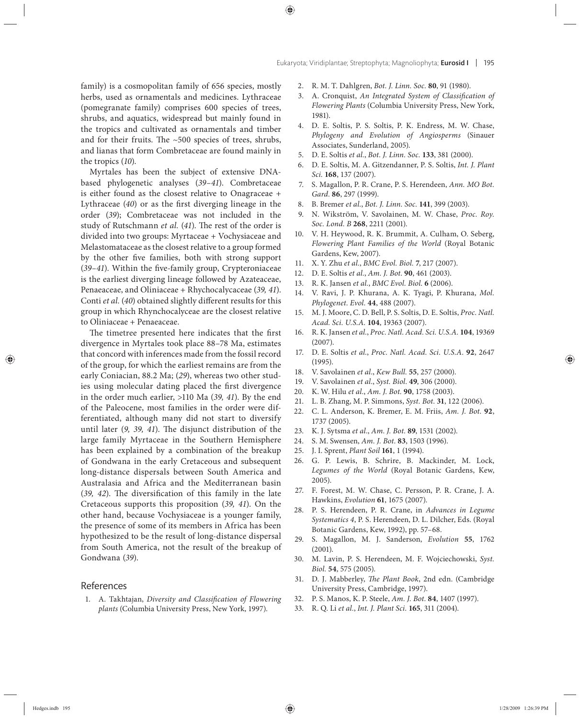family) is a cosmopolitan family of 656 species, mostly herbs, used as ornamentals and medicines. Lythraceae (pomegranate family) comprises 600 species of trees, shrubs, and aquatics, widespread but mainly found in the tropics and cultivated as ornamentals and timber and for their fruits. The  $~500$  species of trees, shrubs, and lianas that form Combretaceae are found mainly in the tropics (*10*).

Myrtales has been the subject of extensive DNAbased phylogenetic analyses (*39–41*). Combretaceae is either found as the closest relative to Onagraceae + Lythraceae  $(40)$  or as the first diverging lineage in the order (*39*); Combretaceae was not included in the study of Rutschmann *et al.* (41). The rest of the order is divided into two groups: Myrtaceae + Vochysiaceae and Melastomataceae as the closest relative to a group formed by the other five families, both with strong support (39-41). Within the five-family group, Crypteroniaceae is the earliest diverging lineage followed by Azateaceae, Penaeaceae, and Oliniaceae + Rhychocalycaceae (*39, 41*). Conti *et al.* (40) obtained slightly different results for this group in which Rhynchocalyceae are the closest relative to Oliniaceae + Penaeaceae.

The timetree presented here indicates that the first divergence in Myrtales took place 88–78 Ma, estimates that concord with inferences made from the fossil record of the group, for which the earliest remains are from the early Coniacian, 88.2 Ma; (*29*), whereas two other studies using molecular dating placed the first divergence in the order much earlier, >110 Ma (*39, 41*). By the end of the Paleocene, most families in the order were differentiated, although many did not start to diversify until later (9, 39, 41). The disjunct distribution of the large family Myrtaceae in the Southern Hemisphere has been explained by a combination of the breakup of Gondwana in the early Cretaceous and subsequent long-distance dispersals between South America and Au stralasia and Africa and the Mediterranean basin (39, 42). The diversification of this family in the late Cretaceous supports this proposition (*39, 41*). On the other hand, because Vochysiaceae is a younger family, the presence of some of its members in Africa has been hypothesized to be the result of long-distance dispersal from South America, not the result of the breakup of Gondwana (*39*).

#### References

1. A. Takhtajan, *Diversity and Classification of Flowering plants* (Columbia University Press, New York, 1997).

- 2. R. M. T. Dahlgren, *Bot. J. Linn. Soc.* **80**, 91 (1980).
- 3. A. Cronquist, *An Integrated System of Classification of Flowering Plants* (Columbia University Press, New York, 1981).
- 4. D. E. Soltis, P. S. Soltis, P. K. Endress, M. W. Chase, *Phylogeny and Evolution of Angiosperms* (Sinauer Associates, Sunderland, 2005).
- 5. D. E. Soltis *et al.*, *Bot. J. Linn. Soc.* **133**, 381 (2000).
- 6. D. E. Soltis, M. A. Gitzendanner, P. S. Soltis, *Int. J. Plant Sci.* **168**, 137 (2007).
- 7. S. Magallon, P. R. Crane, P. S. Herendeen, *Ann. MO Bot. Gard.* **86**, 297 (1999).
- 8. B. Bremer *et al.*, *Bot. J. Linn. Soc.* **141**, 399 (2003).
- 9. N. WikstrÖm, V. Savolainen, M. W. Chase, *Proc. Roy. Soc. Lond. B* **268**, 2211 (2001).
- 10. V. H. Heywood, R. K. Brummit, A. Culham, O. Seberg, *Flowering Plant Families of the World* (Royal Botanic Gardens, Kew, 2007).
- 11. X. Y. Zhu *et al.*, *BMC Evol. Biol.* **7**, 217 (2007).
- 12. D. E. Soltis *et al.*, *Am. J. Bot.* **90**, 461 (2003).
- 13. R. K. Jansen *et al.*, *BMC Evol. Biol.* **6** (2006).
- 14. V. Ravi, J. P. Khurana, A. K. Tyagi, P. Khurana, *Mol. Phylogenet. Evol.* **44**, 488 (2007).
- 15. M. J. Moore, C. D. Bell, P. S. Soltis, D. E. Soltis, *Proc. Natl. Acad. Sci. U.S.A.* **104**, 19363 (2007).
- 16. R. K. Jansen *et al.*, *Proc. Natl. Acad. Sci. U.S.A.* **104**, 19369 (2007).
- 17. D. E. Soltis *et al.*, *Proc. Natl. Acad. Sci. U.S.A.* **92**, 2647 (1995).
- 18. V. Savolainen *et al.*, *Kew Bull.* **55**, 257 (2000).
- 19. V. Savolainen *et al.*, *Syst. Biol.* **49**, 306 (2000).
- 20. K. W. Hilu *et al.*, *Am. J. Bot.* **90**, 1758 (2003).
- 21. L. B. Zhang, M. P. Simmons, *Syst. Bot.* **31**, 122 (2006).
- 22. C. L. Anderson, K. Bremer, E. M. Friis, *Am. J. Bot.* **92**, 1737 (2005).
- 23. K. J. Sytsma *et al.*, *Am. J. Bot.* **89**, 1531 (2002).
- 24. S. M. Swensen, *Am. J. Bot.* **83**, 1503 (1996).
- 25. J. I. Sprent, *Plant Soil* **161**, 1 (1994).
- 26. G. P. Lewis, B. Schrire, B. Mackinder, M. Lock, *Legumes of the World* (Royal Botanic Gardens, Kew, 2005).
- 27. F. Forest, M. W. Chase, C. Persson, P. R. Crane, J. A. Hawkins, *Evolution* **61**, 1675 (2007).
- 28. P. S. Herendeen, P. R. Crane, in *Advances in Legume Systematics 4*, P. S. Herendeen, D. L. Dilcher, Eds. (Royal Botanic Gardens, Kew, 1992), pp. 57–68.
- 29. S. Magallon, M. J. Sanderson, *Evolution* **55**, 1762 (2001).
- 30. M. Lavin, P. S. Herendeen, M. F. Wojciechowski, *Syst. Biol.* **54**, 575 (2005).
- 31. D. J. Mabberley, *The Plant Book*, 2nd edn. (Cambridge University Press, Cambridge, 1997).
- 32. P. S. Manos, K. P. Steele, *Am. J. Bot.* **84**, 1407 (1997).
- 33. R. Q. Li *et al.*, *Int. J. Plant Sci.* **165**, 311 (2004).